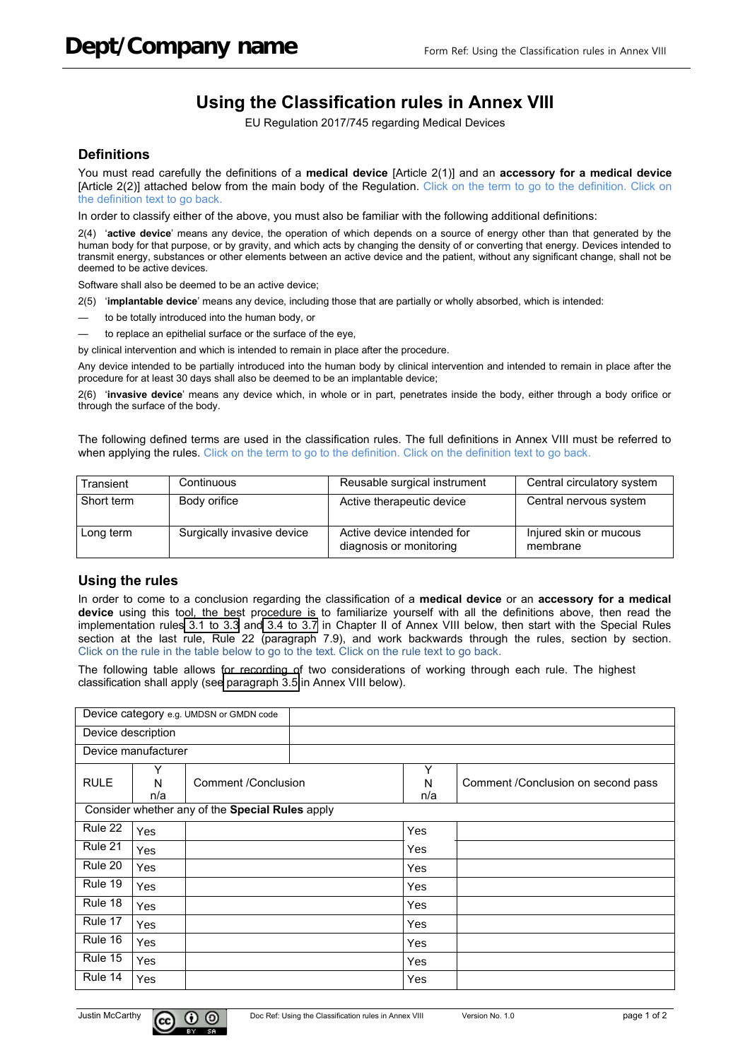# **Using the Classification rules in Annex VIII**

EU Regulation 2017/745 regarding Medical Devices

### <span id="page-0-0"></span>**Definitions**

You must read carefully the definitions of a **[medical device](#page-2-0)** [Article 2(1)] and an **[accessory for a medical device](#page-2-0)** [Article 2(2)] attached below from the main body of the Regulation. Click on the term to go to the definition. Click on the definition text to go back.

In order to classify either of the above, you must also be familiar with the following additional definitions:

2(4) '**active device**' means any device, the operation of which depends on a source of energy other than that generated by the human body for that purpose, or by gravity, and which acts by changing the density of or converting that energy. Devices intended to transmit energy, substances or other elements between an active device and the patient, without any significant change, shall not be deemed to be active devices.

Software shall also be deemed to be an active device;

2(5) '**implantable device**' means any device, including those that are partially or wholly absorbed, which is intended:

- to be totally introduced into the human body, or
- to replace an epithelial surface or the surface of the eye,

by clinical intervention and which is intended to remain in place after the procedure.

Any device intended to be partially introduced into the human body by clinical intervention and intended to remain in place after the procedure for at least 30 days shall also be deemed to be an implantable device;

2(6) '**invasive device**' means any device which, in whole or in part, penetrates inside the body, either through a body orifice or through the surface of the body.

The following defined terms are used in the classification rules. The full definitions in Annex VIII must be referred to when applying the rules. Click on the term to go to the definition. Click on the definition text to go back.

| Transient  | Continuous                 | Reusable surgical instrument                          | Central circulatory system         |
|------------|----------------------------|-------------------------------------------------------|------------------------------------|
| Short term | Body orifice               | Active therapeutic device                             | Central nervous system             |
| Long term  | Surgically invasive device | Active device intended for<br>diagnosis or monitoring | Injured skin or mucous<br>membrane |

### **Using the rules**

In order to come to a conclusion regarding the classification of a **medical device** or an **accessory for a medical device** using this tool*,* the best procedure is to familiarize yourself with all the definitions above, then read the implementation rule[s 3.1](#page-3-0) to 3.3 and [3.4 to 3.7](#page-4-0) in Chapter II of Annex VIII below, then start with the Special Rules section at the last rule, Rule 22 (paragraph 7.9), and work backwards through the rules, section by section. Click on the rule in the table below to go to the text. Click on the rule text to go back.

The following table allows for recording of two considerations of working through each rule. The highest classification shall apply (se[e paragraph 3.5](#page-4-0) in Annex VIII below).

|                     |     | Device category e.g. UMDSN or GMDN code         |     |                                    |
|---------------------|-----|-------------------------------------------------|-----|------------------------------------|
| Device description  |     |                                                 |     |                                    |
| Device manufacturer |     |                                                 |     |                                    |
|                     | Y   |                                                 | Y   |                                    |
| <b>RULE</b>         | N   | Comment /Conclusion                             | N   | Comment /Conclusion on second pass |
|                     | n/a |                                                 | n/a |                                    |
|                     |     | Consider whether any of the Special Rules apply |     |                                    |
| Rule 22             | Yes |                                                 | Yes |                                    |
| Rule 21             | Yes |                                                 | Yes |                                    |
| Rule 20             | Yes |                                                 | Yes |                                    |
| Rule 19             | Yes |                                                 | Yes |                                    |
| Rule 18             | Yes |                                                 | Yes |                                    |
| Rule 17             | Yes |                                                 | Yes |                                    |
| Rule 16             | Yes |                                                 | Yes |                                    |
| Rule 15             | Yes |                                                 | Yes |                                    |
| Rule 14             | Yes |                                                 | Yes |                                    |

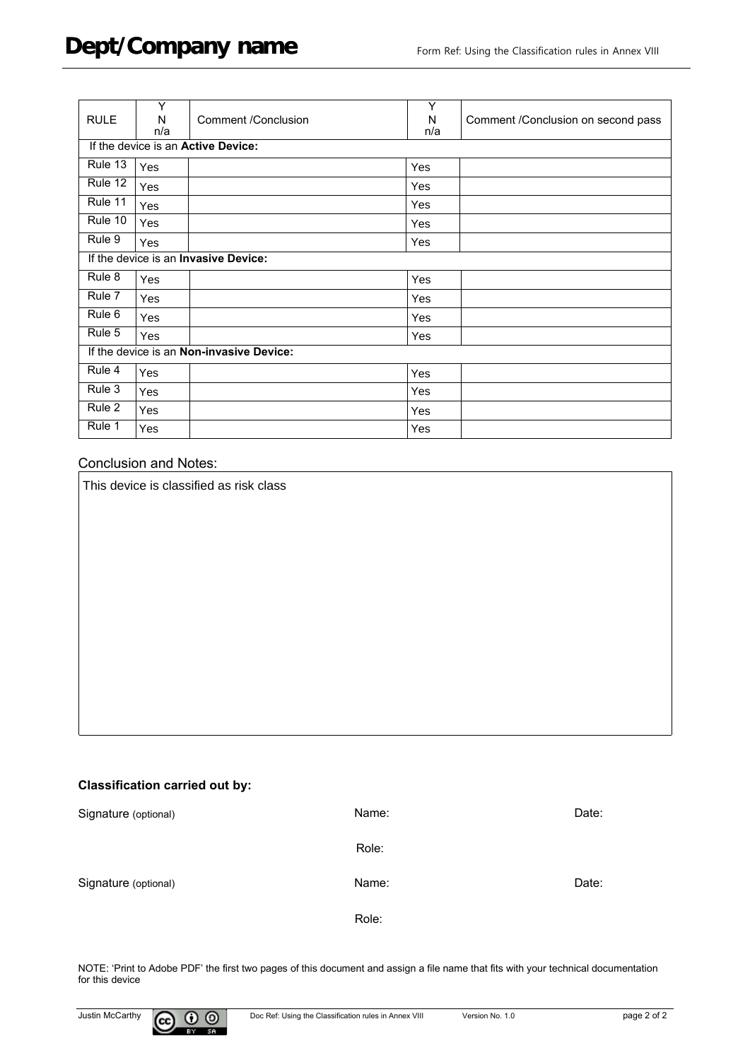<span id="page-1-0"></span>

|                                          | Υ                                           |                            | Y   |                                     |  |  |  |
|------------------------------------------|---------------------------------------------|----------------------------|-----|-------------------------------------|--|--|--|
| <b>RULE</b>                              | N                                           | <b>Comment /Conclusion</b> | N   | Comment / Conclusion on second pass |  |  |  |
|                                          | n/a                                         |                            | n/a |                                     |  |  |  |
|                                          | If the device is an <b>Active Device:</b>   |                            |     |                                     |  |  |  |
| Rule 13                                  | Yes                                         |                            | Yes |                                     |  |  |  |
| Rule 12                                  | Yes                                         |                            | Yes |                                     |  |  |  |
| Rule 11                                  | Yes                                         |                            | Yes |                                     |  |  |  |
| Rule 10                                  | Yes                                         |                            | Yes |                                     |  |  |  |
| Rule 9                                   | Yes                                         |                            | Yes |                                     |  |  |  |
|                                          | If the device is an <b>Invasive Device:</b> |                            |     |                                     |  |  |  |
| Rule 8                                   | Yes                                         |                            | Yes |                                     |  |  |  |
| Rule 7                                   | Yes                                         |                            | Yes |                                     |  |  |  |
| Rule 6                                   | Yes                                         |                            | Yes |                                     |  |  |  |
| Rule 5                                   | Yes                                         |                            | Yes |                                     |  |  |  |
| If the device is an Non-invasive Device: |                                             |                            |     |                                     |  |  |  |
| Rule 4                                   | Yes                                         |                            | Yes |                                     |  |  |  |
| Rule 3                                   | Yes                                         |                            | Yes |                                     |  |  |  |
| Rule 2                                   | Yes                                         |                            | Yes |                                     |  |  |  |
| Rule 1                                   | Yes                                         |                            | Yes |                                     |  |  |  |

# Conclusion and Notes:

This device is classified as risk class

# **Classification carried out by:**

| Signature (optional) | Name: | Date: |
|----------------------|-------|-------|
|                      | Role: |       |
| Signature (optional) | Name: | Date: |
|                      | Role: |       |

NOTE: 'Print to Adobe PDF' the first two pages of this document and assign a file name that fits with your technical documentation for this device

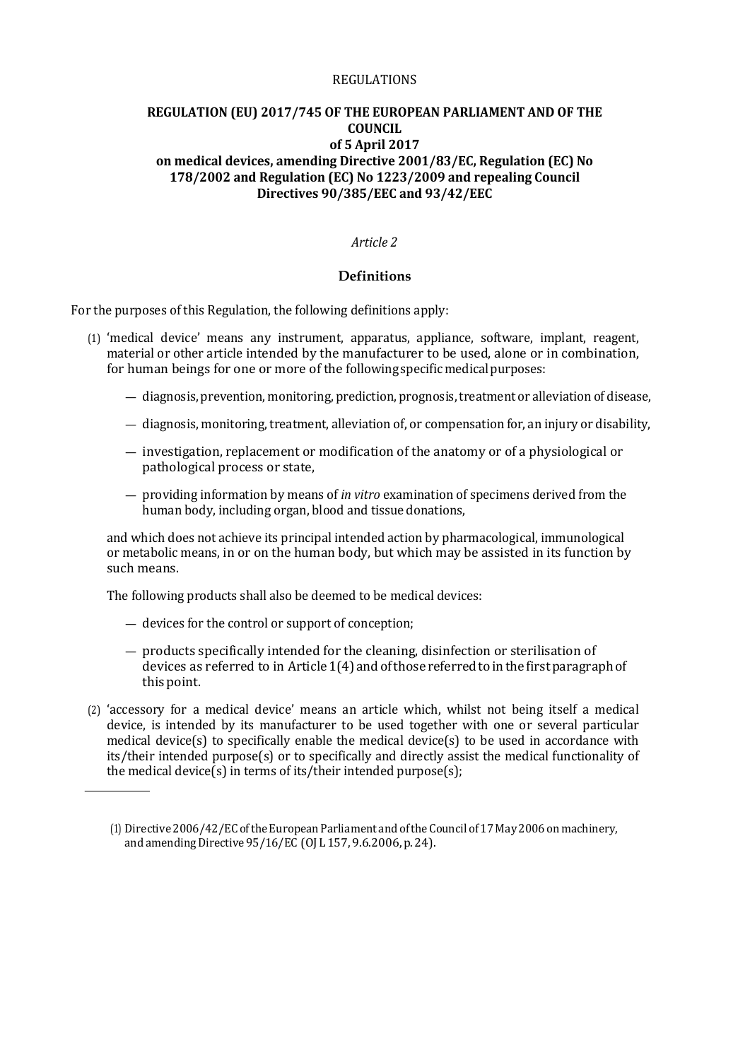### REGULATIONS

# <span id="page-2-0"></span>**REGULATION (EU) 2017/745 OF THE EUROPEAN PARLIAMENT AND OF THE COUNCIL of 5 April 2017 on medical devices, amending Directive 2001/83/EC, Regulation (EC) No 178/2002 and Regulation (EC) No 1223/2009 and repealing Council Directives 90/385/EEC and 93/42/EEC**

### *Article 2*

### **Definitions**

For the purposes of this Regulation, the following definitions apply:

- (1) 'medical device' means any instrument, apparatus, appliance, software, implant, reagent, [material or other article intended by the manufacturer to be used, alone or in combination,](#page-0-0) for human beings for one or more of the following specific medical purposes:
	- diagnosis, prevention, monitoring, prediction, prognosis,treatment or alleviation of disease,
	- diagnosis, monitoring, treatment, alleviation of, or compensation for, an injury or disability,
	- investigation, replacement or modification of the anatomy or of a physiological or pathological process or state,
	- providing information by means of *in vitro* examination of specimens derived from the human body, including organ, blood and tissue donations,

and which does not achieve its principal intended action by pharmacological, immunological or metabolic means, in or on the human body, but which may be assisted in its function by such means.

The following products shall also be deemed to be medical devices:

- devices for the control or support of conception;
- products specifically intended for the cleaning, disinfection or sterilisation of devices as referred to in Article 1(4) and of those referred to in the first paragraph of thispoint.
- (2) 'accessory for a medical device' means an article which, whilst not being itself a medical device, is intended by its manufacturer to be used together with one or several particular [medical device\(s\) to specifically enable the medical device\(s\) to be used in accordance with](#page-0-0) its/their intended purpose(s) or to specifically and directly assist the medical functionality of the medical device(s) in terms of its/their intended purpose(s);

<sup>(1)</sup> Directive2006/42/ECoftheEuropeanParliament and ofthe Council of 17May2006 onmachinery, and amending Directive 95/16/EC (OJ L 157, 9.6.2006, p. 24).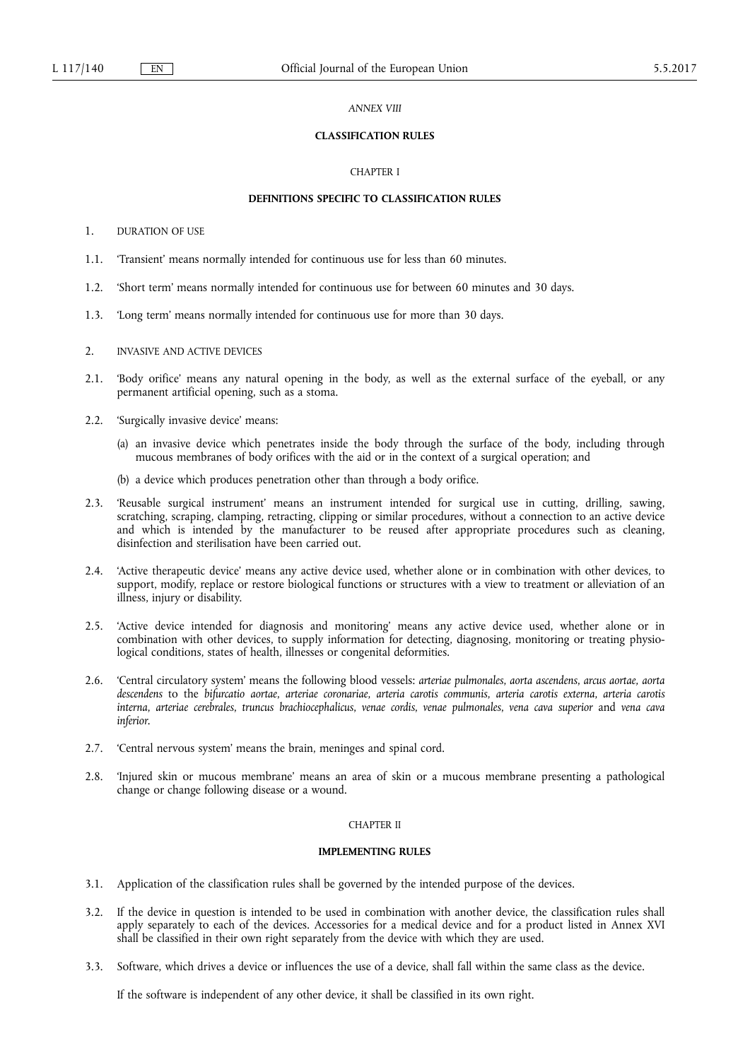#### *ANNEX VIII*

#### **CLASSIFICATION RULES**

#### CHAPTER I

#### **DEFINITIONS SPECIFIC TO CLASSIFICATION RULES**

### <span id="page-3-0"></span>1. DURATION OF USE

- 1.1. ['Transient' means normally intended for continuous use for less than 60 minutes.](#page-0-0)
- 1.2. ['Short term' means normally intended for continuous use for between 60 minutes and 30 days.](#page-0-0)
- 1.3. ['Long term' means normally intended for continuous use for more than 30 days.](#page-0-0)
- 2. INVASIVE AND ACTIVE DEVICES
- 2.1. ['Body orifice' means any natural opening in the body, as well as the external surface of the](#page-0-0) eyeball, or any permanent artificial opening, such as a stoma.
- 2.2. 'Surgically invasive device' means:
	- (a) [an invasive device which penetrates inside the body through the surface of the body, including through](#page-0-0)  mucous membranes of body orifices with the aid or in the context of a surgical operation; and
	- (b) a device which produces penetration other than through a body orifice.
- 2.3. ['Reusable surgical instrument' means an instrument intended for surgical use in cutting, drilling, sawing,](#page-0-0)  scratching, scraping, clamping, retracting, clipping or similar procedures, without a connection to an active device and which is intended by the manufacturer to be reused after appropriate procedures such as cleaning, disinfection and sterilisation have been carried out.
- 2.4. ['Active therapeutic device' means any active device used, whether alone or in combination with other devices, to](#page-0-0)  support, modify, replace or restore biological functions or structures with a view to treatment or alleviation of an illness, injury or disability.
- 2.5. ['Active device intended for diagnosis and monitoring' means any active device used, whether alone or in](#page-0-0)  combination with other devices, to supply information for detecting, diagnosing, monitoring or treating physiological conditions, states of health, illnesses or congenital deformities.
- 2.6. ['Central circulatory system' means the following blood vessels:](#page-0-0) *arteriae pulmonales*, *aorta ascendens*, *arcus aortae, aorta descendens* to the *bifurcatio aortae*, *arteriae coronariae*, *arteria carotis communis*, *arteria carotis externa*, *arteria carotis interna*, *arteriae cerebrales*, *truncus brachiocephalicus*, *venae cordis*, *venae pulmonales*, *vena cava superior* and *vena cava inferior*.
- 2.7. ['Central nervous system' means the brain, meninges and spinal cord.](#page-0-0)
- 2.8. ['Injured skin or mucous membrane' means an area of skin or a mucous membrane presenting a pathological](#page-0-0)  change or change following disease or a wound.

#### CHAPTER II

#### **IMPLEMENTING RULES**

- 3.1. Application of the classification rules shall be governed by the intended purpose of the devices.
- [3.2. If the device in question is intended to be used in combination with another device, the classification rules shall](#page-0-0)  apply separately to each of the devices. Accessories for a medical device and for a product listed in Annex XVI shall be classified in their own right separately from the device with which they are used.
- 3.3. Software, which drives a device or influences the use of a device, shall fall within the same class as the device.

If the software is independent of any other device, it shall be classified in its own right.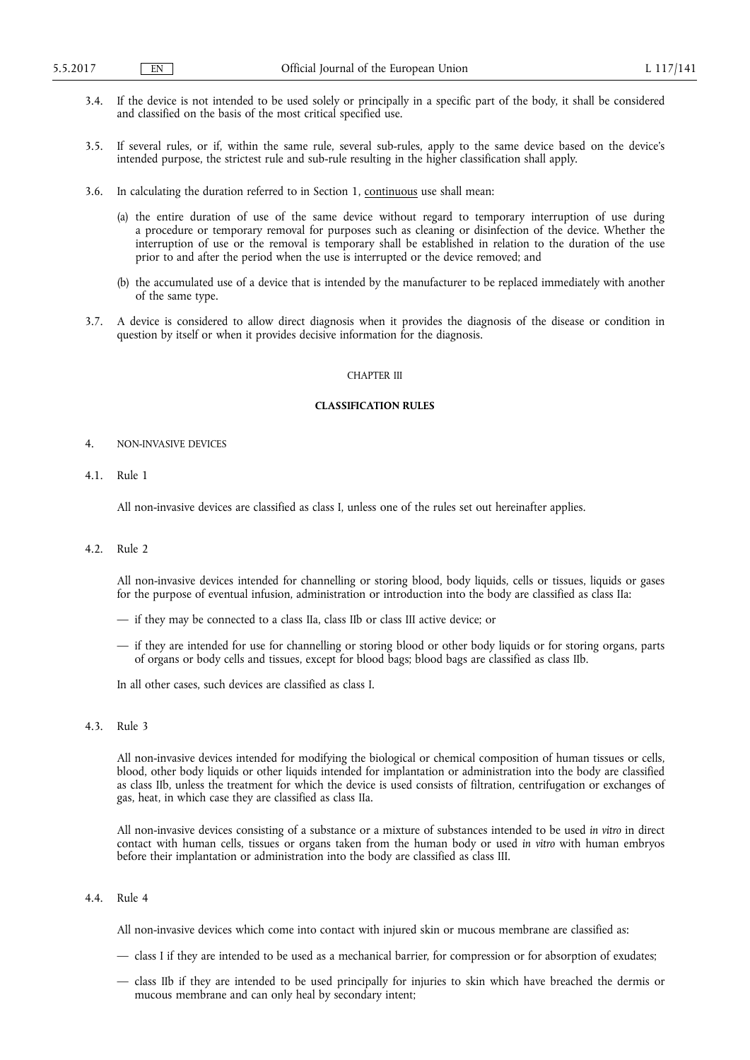- <span id="page-4-0"></span>[3.4. If the device is not intended to be used solely or principally in a specific part of the body, it shall be considered](#page-0-0)  and classified on the basis of the most critical specified use.
- 3.5. If several rules, or if, within the same rule, several sub-rules, apply to the same device based on the device's intended purpose, the strictest rule and sub-rule resulting in the higher classification shall apply.
- 3.6. In calculating the duration referred to in Section 1, continuous use shall mean:
	- [\(a\) the entire duration of use of the same device without regard to temporary interruption of use during](#page-0-0)  a procedure or temporary removal for purposes such as cleaning or disinfection of the device. Whether the interruption of use or the removal is temporary shall be established in relation to the duration of the use prior to and after the period when the use is interrupted or the device removed; and
	- (b) the accumulated use of a device that is intended by the manufacturer to be replaced immediately with another of the same type.
- [3.7. A device is considered to allow direct diagnosis when it provides the diagnosis of the disease or condition in](#page-0-0)  question by itself or when it provides decisive information for the diagnosis.

#### CHAPTER III

#### **CLASSIFICATION RULES**

- 4. NON-INVASIVE DEVICES
- 4.1. Rule 1

[All non-invasive devices are classified as class I, unless one of the rules set out hereinafter applies.](#page-1-0) 

4.2. Rule 2

All non-invasive devices intended for channelling or storing blood, body liquids, cells or tissues, liquids or gases for the purpose of eventual infusion, administration or introduction into the body are classified as class IIa:

- if they may be connected to a class IIa, class IIb or class III active device; or
- [if they are intended for use for channelling or storing blood or other body liquids or for storing organs, parts](#page-1-0)  of organs or body cells and tissues, except for blood bags; blood bags are classified as class IIb.

In all other cases, such devices are classified as class I.

4.3. Rule 3

[All non-invasive devices intended for modifying the biological or chemical composition of human tissues or cells,](#page-1-0)  blood, other body liquids or other liquids intended for implantation or administration into the body are classified as class IIb, unless the treatment for which the device is used consists of filtration, centrifugation or exchanges of gas, heat, in which case they are classified as class IIa.

All non-invasive devices consisting of a substance or a mixture of substances intended to be used *in vitro* in direct contact with human cells, tissues or organs taken from the human body or used *in vitro* with human embryos before their implantation or administration into the body are classified as class III.

4.4. Rule 4

All non-invasive devices which come into contact with injured skin or mucous membrane are classified as:

- class I if they are intended to be used as a mechanical barrier, for compression or for absorption of exudates;
- [class IIb if they are intended to be used principally for injuries to skin which have breached the dermis or](#page-1-0)  mucous membrane and can only heal by secondary intent;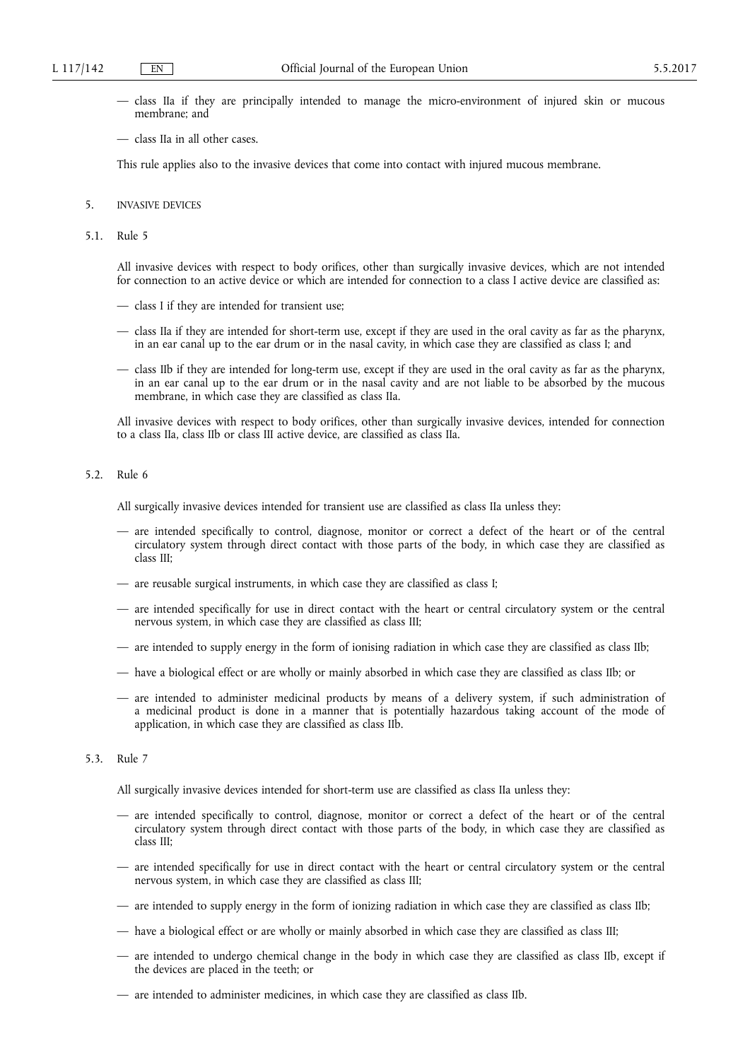- <span id="page-5-0"></span>— class IIa if they are principally intended to manage the micro-environment of injured skin or mucous membrane; and
- class IIa in all other cases.

This rule applies also to the invasive devices that come into contact with injured mucous membrane.

- 5. INVASIVE DEVICES
- 5.1. Rule 5

[All invasive devices with respect to body orifices, other than surgically invasive devices, which are not intended](#page-1-0)  for connection to an active device or which are intended for connection to a class I active device are classified as:

- class I if they are intended for transient use;
- class IIa if they are intended for short-term use, except if they are used in the oral cavity as far as the pharynx, in an ear canal up to the ear drum or in the nasal cavity, in which case they are classified as class I; and
- class IIb if they are intended for long-term use, except if they are used in the oral cavity as far as the pharynx, in an ear canal up to the ear drum or in the nasal cavity and are not liable to be absorbed by the mucous membrane, in which case they are classified as class IIa.

All invasive devices with respect to body orifices, other than surgically invasive devices, intended for connection to a class IIa, class IIb or class III active device, are classified as class IIa.

5.2. Rule 6

All surgically invasive devices intended for transient use are classified as class IIa unless they:

- are intended specifically to control, diagnose, monitor or correct a defect of the heart or of the central circulatory system through direct contact with those parts of the body, in which case they are classified as class III;
- are reusable surgical instruments, in which case they are classified as class I;
- are intended specifically for use in direct contact with the heart or central circulatory system or the central nervous system, in which case they are classified as class III;
- are intended to supply energy in the form of ionising radiation in which case they are classified as class IIb;
- have a biological effect or are wholly or mainly absorbed in which case they are classified as class IIb; or
- [are intended to administer medicinal products by means of a delivery system, if such administration of](#page-1-0)  a medicinal product is done in a manner that is potentially hazardous taking account of the mode of application, in which case they are classified as class IIb.
- 5.3. Rule 7

All surgically invasive devices intended for short-term use are classified as class IIa unless they:

- are intended specifically to control, diagnose, monitor or correct a defect of the heart or of the central circulatory system through direct contact with those parts of the body, in which case they are classified as class III;
- are intended specifically for use in direct contact with the heart or central circulatory system or the central nervous system, in which case they are classified as class III;
- are intended to supply energy in the form of ionizing radiation in which case they are classified as class IIb;
- have a biological effect or are wholly or mainly absorbed in which case they are classified as class III;
- [are intended to undergo chemical change in the body in which case they are classified as class IIb, except if](#page-1-0)  the devices are placed in the teeth; or
- are intended to administer medicines, in which case they are classified as class IIb.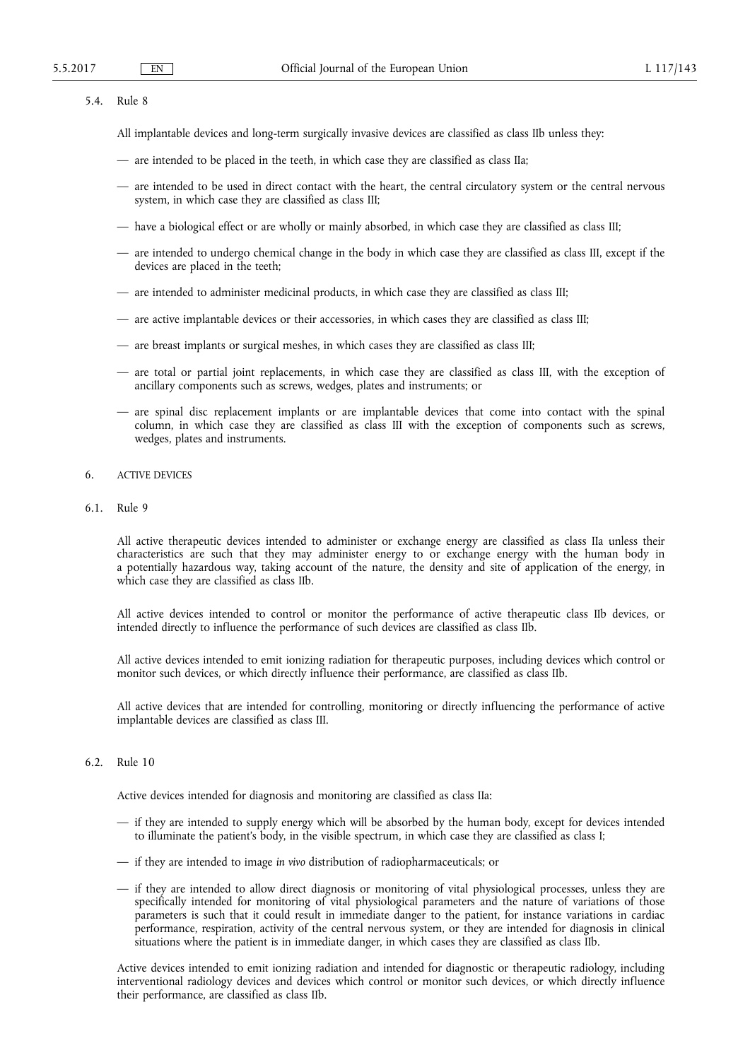<span id="page-6-0"></span>5.4. Rule 8

All implantable devices and long-term surgically invasive devices are classified as class IIb unless they:

- are intended to be placed in the teeth, in which case they are classified as class IIa;
- [are intended to be used in direct contact with the heart, the central circulatory system or the central nervous](#page-1-0)  system, in which case they are classified as class III;
- have a biological effect or are wholly or mainly absorbed, in which case they are classified as class III;
- are intended to undergo chemical change in the body in which case they are classified as class III, except if the devices are placed in the teeth;
- are intended to administer medicinal products, in which case they are classified as class III;
- are active implantable devices or their accessories, in which cases they are classified as class III;
- are breast implants or surgical meshes, in which cases they are classified as class III;
- are total or partial joint replacements, in which case they are classified as class III, with the exception of ancillary components such as screws, wedges, plates and instruments; or
- are spinal disc replacement implants or are implantable devices that come into contact with the spinal column, in which case they are classified as class III with the exception of components such as screws, wedges, plates and instruments.

### 6. ACTIVE DEVICES

6.1. Rule 9

All active therapeutic devices intended to administer or exchange energy are classified as class IIa unless their [characteristics are such that they may administer energy to or exchange energy with the human body in](#page-1-0)  a potentially hazardous way, taking account of the nature, the density and site of application of the energy, in which case they are classified as class IIb.

All active devices intended to control or monitor the performance of active therapeutic class IIb devices, or intended directly to influence the performance of such devices are classified as class IIb.

All active devices intended to emit ionizing radiation for therapeutic purposes, including devices which control or monitor such devices, or which directly influence their performance, are classified as class IIb.

All active devices that are intended for controlling, monitoring or directly influencing the performance of active implantable devices are classified as class III.

#### 6.2. Rule 10

Active devices intended for diagnosis and monitoring are classified as class IIa:

- if they are intended to supply energy which will be absorbed by the human body, except for devices intended to illuminate the patient's body, in the visible spectrum, in which case they are classified as class I;
- if they are intended to image *in vivo* distribution of radiopharmaceuticals; or
- [if they are intended to allow direct diagnosis or monitoring of vital physiological processes, unless they are](#page-1-0)  specifically intended for monitoring of vital physiological parameters and the nature of variations of those parameters is such that it could result in immediate danger to the patient, for instance variations in cardiac performance, respiration, activity of the central nervous system, or they are intended for diagnosis in clinical situations where the patient is in immediate danger, in which cases they are classified as class IIb.

Active devices intended to emit ionizing radiation and intended for diagnostic or therapeutic radiology, including interventional radiology devices and devices which control or monitor such devices, or which directly influence their performance, are classified as class IIb.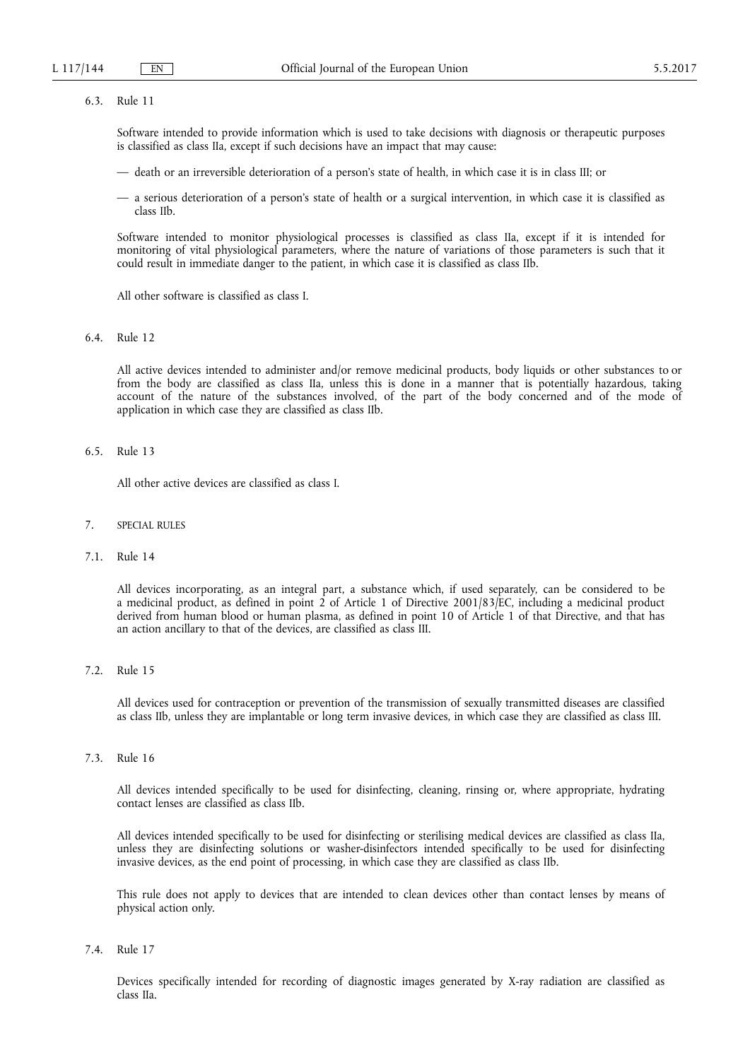<span id="page-7-0"></span>6.3. Rule 11

[Software intended to provide information which is used to take decisions with diagnosis or therapeutic purposes](#page-1-0)  is classified as class IIa, except if such decisions have an impact that may cause:

- death or an irreversible deterioration of a person's state of health, in which case it is in class III; or
- a serious deterioration of a person's state of health or a surgical intervention, in which case it is classified as class IIb.

Software intended to monitor physiological processes is classified as class IIa, except if it is intended for monitoring of vital physiological parameters, where the nature of variations of those parameters is such that it could result in immediate danger to the patient, in which case it is classified as class IIb.

All other software is classified as class I.

6.4. Rule 12

All active devices intended to administer and/or remove medicinal products, body liquids or other substances to or [from the body are classified as class IIa, unless this is done in a manner that is potentially hazardous, taking](#page-1-0)  account of the nature of the substances involved, of the part of the body concerned and of the mode of application in which case they are classified as class IIb.

6.5. Rule 13

[All other active devices are classified as class I.](#page-1-0) 

- 7. SPECIAL RULES
- 7.1. Rule 14

All devices incorporating, as an integral part, a substance which, if used separately, can be considered to be a medicinal product, as defined in point 2 of Article 1 of Directive 2001/83/EC, including a medicinal product [derived from human blood or human plasma, as defined in point 10 of Article 1 of that Directive, and that has](#page-0-0)  an action ancillary to that of the devices, are classified as class III.

7.2. Rule 15

[All devices used for contraception or prevention of the transmission of sexually transmitted diseases are classified](#page-0-0)  as class IIb, unless they are implantable or long term invasive devices, in which case they are classified as class III.

7.3. Rule 16

All devices intended specifically to be used for disinfecting, cleaning, rinsing or, where appropriate, hydrating contact lenses are classified as class IIb.

All devices intended specifically to be used for disinfecting or sterilising medical devices are classified as class IIa, [unless they are disinfecting solutions or washer-disinfectors intended specifically to be used for disinfecting](#page-0-0)  invasive devices, as the end point of processing, in which case they are classified as class IIb.

This rule does not apply to devices that are intended to clean devices other than contact lenses by means of physical action only.

7.4. Rule 17

[Devices specifically intended for recording of diagnostic images generated by X-ray radiation are classified as](#page-0-0)  class IIa.